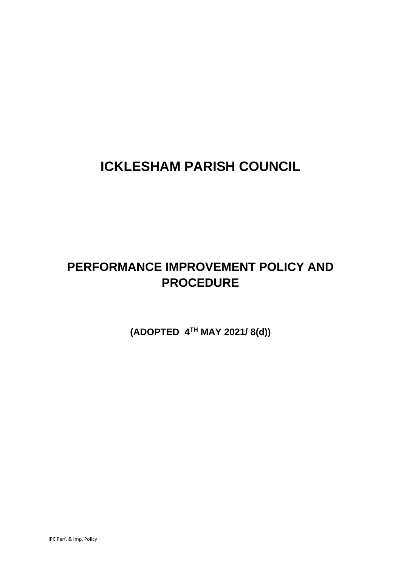# **ICKLESHAM PARISH COUNCIL**

# **PERFORMANCE IMPROVEMENT POLICY AND PROCEDURE**

**(ADOPTED 4TH MAY 2021/ 8(d))**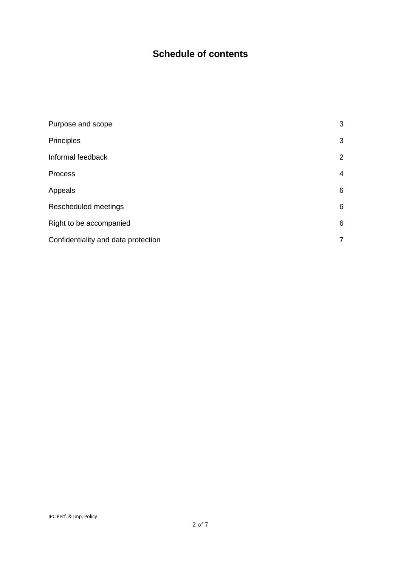## **Schedule of contents**

| Purpose and scope                   | 3              |
|-------------------------------------|----------------|
| Principles                          | 3              |
| Informal feedback                   | $\overline{2}$ |
| Process                             | 4              |
| Appeals                             | 6              |
| Rescheduled meetings                | 6              |
| Right to be accompanied             | 6              |
| Confidentiality and data protection | $\overline{7}$ |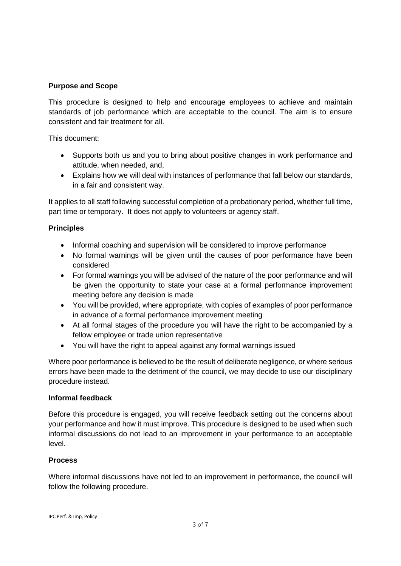#### **Purpose and Scope**

This procedure is designed to help and encourage employees to achieve and maintain standards of job performance which are acceptable to the council. The aim is to ensure consistent and fair treatment for all.

This document:

- Supports both us and you to bring about positive changes in work performance and attitude, when needed, and,
- Explains how we will deal with instances of performance that fall below our standards, in a fair and consistent way.

It applies to all staff following successful completion of a probationary period, whether full time, part time or temporary. It does not apply to volunteers or agency staff.

### **Principles**

- Informal coaching and supervision will be considered to improve performance
- No formal warnings will be given until the causes of poor performance have been considered
- For formal warnings you will be advised of the nature of the poor performance and will be given the opportunity to state your case at a formal performance improvement meeting before any decision is made
- You will be provided, where appropriate, with copies of examples of poor performance in advance of a formal performance improvement meeting
- At all formal stages of the procedure you will have the right to be accompanied by a fellow employee or trade union representative
- You will have the right to appeal against any formal warnings issued

Where poor performance is believed to be the result of deliberate negligence, or where serious errors have been made to the detriment of the council, we may decide to use our disciplinary procedure instead.

#### **Informal feedback**

Before this procedure is engaged, you will receive feedback setting out the concerns about your performance and how it must improve. This procedure is designed to be used when such informal discussions do not lead to an improvement in your performance to an acceptable level.

#### **Process**

Where informal discussions have not led to an improvement in performance, the council will follow the following procedure.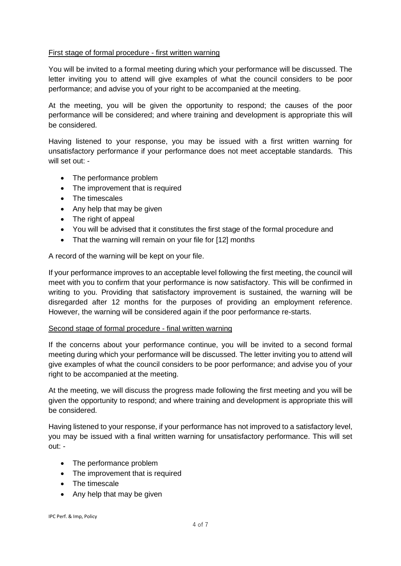#### First stage of formal procedure - first written warning

You will be invited to a formal meeting during which your performance will be discussed. The letter inviting you to attend will give examples of what the council considers to be poor performance; and advise you of your right to be accompanied at the meeting.

At the meeting, you will be given the opportunity to respond; the causes of the poor performance will be considered; and where training and development is appropriate this will be considered.

Having listened to your response, you may be issued with a first written warning for unsatisfactory performance if your performance does not meet acceptable standards. This will set out: -

- The performance problem
- The improvement that is required
- The timescales
- Any help that may be given
- The right of appeal
- You will be advised that it constitutes the first stage of the formal procedure and
- That the warning will remain on your file for [12] months

A record of the warning will be kept on your file.

If your performance improves to an acceptable level following the first meeting, the council will meet with you to confirm that your performance is now satisfactory. This will be confirmed in writing to you. Providing that satisfactory improvement is sustained, the warning will be disregarded after 12 months for the purposes of providing an employment reference. However, the warning will be considered again if the poor performance re-starts.

#### Second stage of formal procedure - final written warning

If the concerns about your performance continue, you will be invited to a second formal meeting during which your performance will be discussed. The letter inviting you to attend will give examples of what the council considers to be poor performance; and advise you of your right to be accompanied at the meeting.

At the meeting, we will discuss the progress made following the first meeting and you will be given the opportunity to respond; and where training and development is appropriate this will be considered.

Having listened to your response, if your performance has not improved to a satisfactory level, you may be issued with a final written warning for unsatisfactory performance. This will set out: -

- The performance problem
- The improvement that is required
- The timescale
- Any help that may be given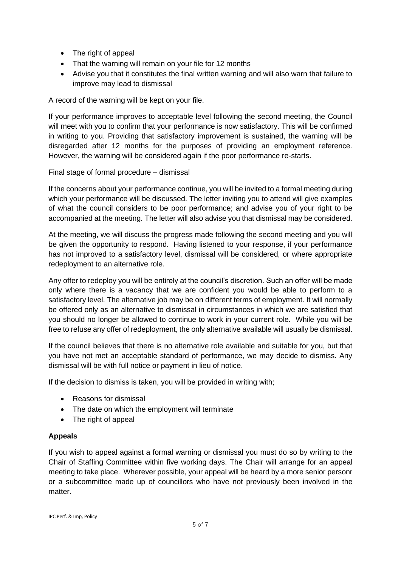- The right of appeal
- That the warning will remain on your file for 12 months
- Advise you that it constitutes the final written warning and will also warn that failure to improve may lead to dismissal

A record of the warning will be kept on your file.

If your performance improves to acceptable level following the second meeting, the Council will meet with you to confirm that your performance is now satisfactory. This will be confirmed in writing to you. Providing that satisfactory improvement is sustained, the warning will be disregarded after 12 months for the purposes of providing an employment reference. However, the warning will be considered again if the poor performance re-starts.

#### Final stage of formal procedure – dismissal

If the concerns about your performance continue, you will be invited to a formal meeting during which your performance will be discussed. The letter inviting you to attend will give examples of what the council considers to be poor performance; and advise you of your right to be accompanied at the meeting. The letter will also advise you that dismissal may be considered.

At the meeting, we will discuss the progress made following the second meeting and you will be given the opportunity to respond. Having listened to your response, if your performance has not improved to a satisfactory level, dismissal will be considered, or where appropriate redeployment to an alternative role.

Any offer to redeploy you will be entirely at the council's discretion. Such an offer will be made only where there is a vacancy that we are confident you would be able to perform to a satisfactory level. The alternative job may be on different terms of employment. It will normally be offered only as an alternative to dismissal in circumstances in which we are satisfied that you should no longer be allowed to continue to work in your current role. While you will be free to refuse any offer of redeployment, the only alternative available will usually be dismissal.

If the council believes that there is no alternative role available and suitable for you, but that you have not met an acceptable standard of performance, we may decide to dismiss. Any dismissal will be with full notice or payment in lieu of notice.

If the decision to dismiss is taken, you will be provided in writing with;

- Reasons for dismissal
- The date on which the employment will terminate
- The right of appeal

#### **Appeals**

If you wish to appeal against a formal warning or dismissal you must do so by writing to the Chair of Staffing Committee within five working days. The Chair will arrange for an appeal meeting to take place. Wherever possible, your appeal will be heard by a more senior personr or a subcommittee made up of councillors who have not previously been involved in the matter.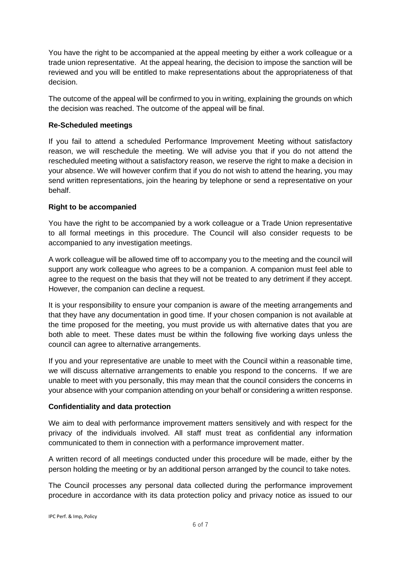You have the right to be accompanied at the appeal meeting by either a work colleague or a trade union representative. At the appeal hearing, the decision to impose the sanction will be reviewed and you will be entitled to make representations about the appropriateness of that decision.

The outcome of the appeal will be confirmed to you in writing, explaining the grounds on which the decision was reached. The outcome of the appeal will be final.

#### **Re-Scheduled meetings**

If you fail to attend a scheduled Performance Improvement Meeting without satisfactory reason, we will reschedule the meeting. We will advise you that if you do not attend the rescheduled meeting without a satisfactory reason, we reserve the right to make a decision in your absence. We will however confirm that if you do not wish to attend the hearing, you may send written representations, join the hearing by telephone or send a representative on your behalf.

### **Right to be accompanied**

You have the right to be accompanied by a work colleague or a Trade Union representative to all formal meetings in this procedure. The Council will also consider requests to be accompanied to any investigation meetings.

A work colleague will be allowed time off to accompany you to the meeting and the council will support any work colleague who agrees to be a companion. A companion must feel able to agree to the request on the basis that they will not be treated to any detriment if they accept. However, the companion can decline a request.

It is your responsibility to ensure your companion is aware of the meeting arrangements and that they have any documentation in good time. If your chosen companion is not available at the time proposed for the meeting, you must provide us with alternative dates that you are both able to meet. These dates must be within the following five working days unless the council can agree to alternative arrangements.

If you and your representative are unable to meet with the Council within a reasonable time, we will discuss alternative arrangements to enable you respond to the concerns. If we are unable to meet with you personally, this may mean that the council considers the concerns in your absence with your companion attending on your behalf or considering a written response.

#### **Confidentiality and data protection**

We aim to deal with performance improvement matters sensitively and with respect for the privacy of the individuals involved. All staff must treat as confidential any information communicated to them in connection with a performance improvement matter.

A written record of all meetings conducted under this procedure will be made, either by the person holding the meeting or by an additional person arranged by the council to take notes.

The Council processes any personal data collected during the performance improvement procedure in accordance with its data protection policy and privacy notice as issued to our